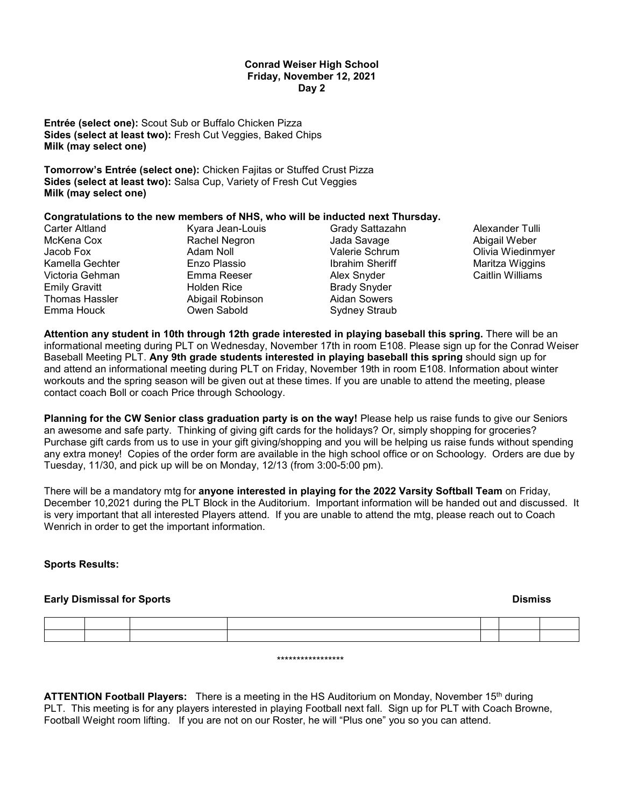#### **Conrad Weiser High School Friday, November 12, 2021 Day 2**

**Entrée (select one):** Scout Sub or Buffalo Chicken Pizza **Sides (select at least two):** Fresh Cut Veggies, Baked Chips **Milk (may select one)**

**Tomorrow's Entrée (select one):** Chicken Fajitas or Stuffed Crust Pizza **Sides (select at least two):** Salsa Cup, Variety of Fresh Cut Veggies **Milk (may select one)**

## **Congratulations to the new members of NHS, who will be inducted next Thursday.**

| Carter Altland       | Kyara Jean-Louis   | Grady Sattazahn     |
|----------------------|--------------------|---------------------|
| McKena Cox           | Rachel Negron      | Jada Savage         |
| Jacob Fox            | Adam Noll          | Valerie Schrum      |
| Kamella Gechter      | Enzo Plassio       | Ibrahim Sheriff     |
| Victoria Gehman      | Emma Reeser        | Alex Snyder         |
| <b>Emily Gravitt</b> | <b>Holden Rice</b> | <b>Brady Snyder</b> |
| Thomas Hassler       | Abigail Robinson   | <b>Aidan Sowers</b> |
| Emma Houck           | Owen Sabold        | Sydney Straub       |
|                      |                    |                     |

Alexander Tulli Abigail Weber Olivia Wiedinmyer Maritza Wiggins Caitlin Williams

**Attention any student in 10th through 12th grade interested in playing baseball this spring.** There will be an informational meeting during PLT on Wednesday, November 17th in room E108. Please sign up for the Conrad Weiser Baseball Meeting PLT. **Any 9th grade students interested in playing baseball this spring** should sign up for and attend an informational meeting during PLT on Friday, November 19th in room E108. Information about winter workouts and the spring season will be given out at these times. If you are unable to attend the meeting, please contact coach Boll or coach Price through Schoology.

**Planning for the CW Senior class graduation party is on the way!** Please help us raise funds to give our Seniors an awesome and safe party. Thinking of giving gift cards for the holidays? Or, simply shopping for groceries? Purchase gift cards from us to use in your gift giving/shopping and you will be helping us raise funds without spending any extra money! Copies of the order form are available in the high school office or on Schoology. Orders are due by Tuesday, 11/30, and pick up will be on Monday, 12/13 (from 3:00-5:00 pm).

There will be a mandatory mtg for **anyone interested in playing for the 2022 Varsity Softball Team** on Friday, December 10,2021 during the PLT Block in the Auditorium. Important information will be handed out and discussed. It is very important that all interested Players attend. If you are unable to attend the mtg, please reach out to Coach Wenrich in order to get the important information.

# **Sports Results:**

# **Early Dismissal for Sports Contract Contract Contract Contract Contract Contract Contract Contract Contract Contract Contract Contract Contract Contract Contract Contract Contract Contract Contract Contract Contract Contr**

\*\*\*\*\*\*\*\*\*\*\*\*\*\*\*\*\*

**ATTENTION Football Players:** There is a meeting in the HS Auditorium on Monday, November 15th during PLT. This meeting is for any players interested in playing Football next fall. Sign up for PLT with Coach Browne, Football Weight room lifting. If you are not on our Roster, he will "Plus one" you so you can attend.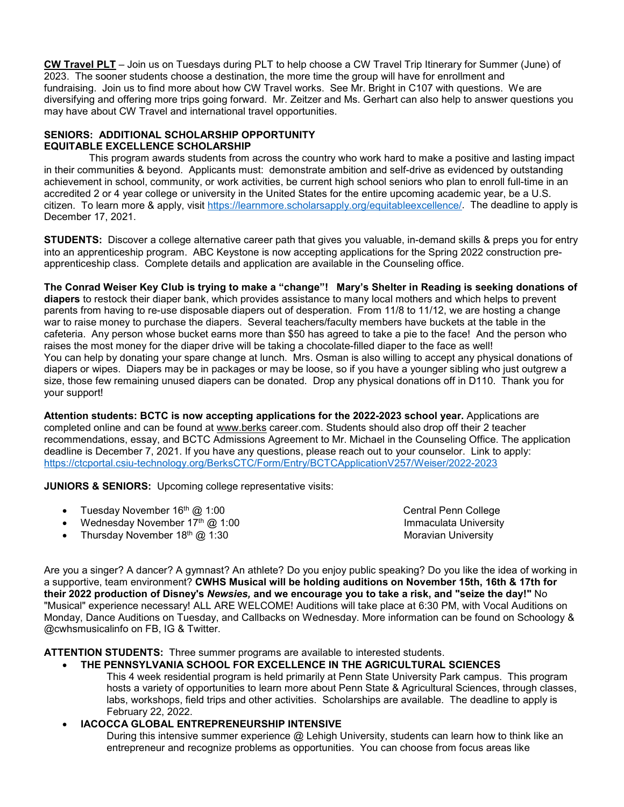**CW Travel PLT** – Join us on Tuesdays during PLT to help choose a CW Travel Trip Itinerary for Summer (June) of 2023. The sooner students choose a destination, the more time the group will have for enrollment and fundraising. Join us to find more about how CW Travel works. See Mr. Bright in C107 with questions. We are diversifying and offering more trips going forward. Mr. Zeitzer and Ms. Gerhart can also help to answer questions you may have about CW Travel and international travel opportunities.

# **SENIORS: ADDITIONAL SCHOLARSHIP OPPORTUNITY EQUITABLE EXCELLENCE SCHOLARSHIP**

 This program awards students from across the country who work hard to make a positive and lasting impact in their communities & beyond. Applicants must: demonstrate ambition and self-drive as evidenced by outstanding achievement in school, community, or work activities, be current high school seniors who plan to enroll full-time in an accredited 2 or 4 year college or university in the United States for the entire upcoming academic year, be a U.S. citizen. To learn more & apply, visit [https://learnmore.scholarsapply.org/equitableexcellence/.](https://learnmore.scholarsapply.org/equitableexcellence/) The deadline to apply is December 17, 2021.

**STUDENTS:** Discover a college alternative career path that gives you valuable, in-demand skills & preps you for entry into an apprenticeship program. ABC Keystone is now accepting applications for the Spring 2022 construction preapprenticeship class. Complete details and application are available in the Counseling office.

**The Conrad Weiser Key Club is trying to make a "change"! Mary's Shelter in Reading is seeking donations of diapers** to restock their diaper bank, which provides assistance to many local mothers and which helps to prevent parents from having to re-use disposable diapers out of desperation. From 11/8 to 11/12, we are hosting a change war to raise money to purchase the diapers. Several teachers/faculty members have buckets at the table in the cafeteria. Any person whose bucket earns more than \$50 has agreed to take a pie to the face! And the person who raises the most money for the diaper drive will be taking a chocolate-filled diaper to the face as well! You can help by donating your spare change at lunch. Mrs. Osman is also willing to accept any physical donations of diapers or wipes. Diapers may be in packages or may be loose, so if you have a younger sibling who just outgrew a size, those few remaining unused diapers can be donated. Drop any physical donations off in D110. Thank you for your support!

**Attention students: BCTC is now accepting applications for the 2022-2023 school year.** Applications are completed online and can be found at [www.berks](http://www.berks/) career.com. Students should also drop off their 2 teacher recommendations, essay, and BCTC Admissions Agreement to Mr. Michael in the Counseling Office. The application deadline is December 7, 2021. If you have any questions, please reach out to your counselor. Link to apply: <https://ctcportal.csiu-technology.org/BerksCTC/Form/Entry/BCTCApplicationV257/Weiser/2022-2023>

**JUNIORS & SENIORS:** Upcoming college representative visits:

- Tuesday November 16<sup>th</sup> @ 1:00 Central Penn College
- Wednesday November 17<sup>th</sup> @ 1:00 **Immaculata University** Immaculata University
- Thursday November 18<sup>th</sup> @ 1:30 Moravian University

Are you a singer? A dancer? A gymnast? An athlete? Do you enjoy public speaking? Do you like the idea of working in a supportive, team environment? **CWHS Musical will be holding auditions on November 15th, 16th & 17th for their 2022 production of Disney's** *Newsies,* **and we encourage you to take a risk, and "seize the day!"** No "Musical" experience necessary! ALL ARE WELCOME! Auditions will take place at 6:30 PM, with Vocal Auditions on Monday, Dance Auditions on Tuesday, and Callbacks on Wednesday. More information can be found on Schoology & @cwhsmusicalinfo on FB, IG & Twitter.

**ATTENTION STUDENTS:** Three summer programs are available to interested students.

# • **THE PENNSYLVANIA SCHOOL FOR EXCELLENCE IN THE AGRICULTURAL SCIENCES**

This 4 week residential program is held primarily at Penn State University Park campus. This program hosts a variety of opportunities to learn more about Penn State & Agricultural Sciences, through classes, labs, workshops, field trips and other activities. Scholarships are available. The deadline to apply is February 22, 2022.

• **IACOCCA GLOBAL ENTREPRENEURSHIP INTENSIVE**

During this intensive summer experience @ Lehigh University, students can learn how to think like an entrepreneur and recognize problems as opportunities. You can choose from focus areas like